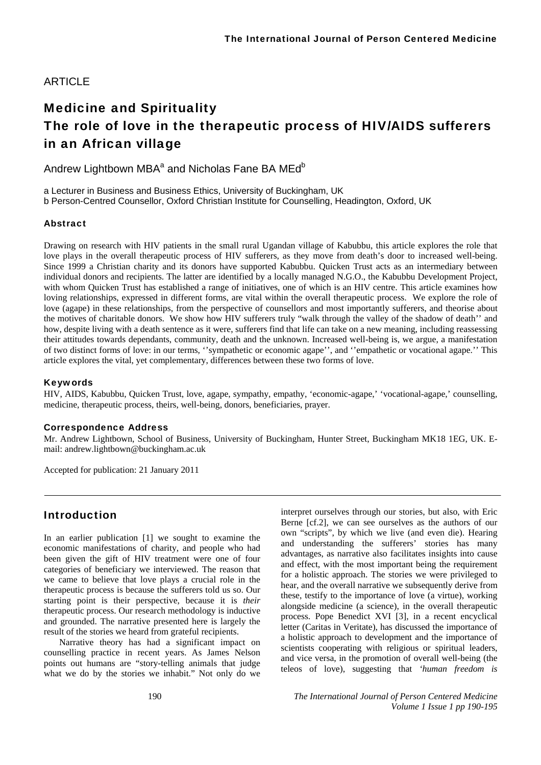### ARTICLE

# Medicine and Spirituality The role of love in the therapeutic process of HIV/AIDS sufferers in an African village

Andrew Lightbown MBA $^{\rm a}$  and Nicholas Fane BA MEd $^{\rm b}$ 

a Lecturer in Business and Business Ethics, University of Buckingham, UK b Person-Centred Counsellor, Oxford Christian Institute for Counselling, Headington, Oxford, UK

### Abstract

Drawing on research with HIV patients in the small rural Ugandan village of Kabubbu, this article explores the role that love plays in the overall therapeutic process of HIV sufferers, as they move from death's door to increased well-being. Since 1999 a Christian charity and its donors have supported Kabubbu. Quicken Trust acts as an intermediary between individual donors and recipients. The latter are identified by a locally managed N.G.O., the Kabubbu Development Project, with whom Quicken Trust has established a range of initiatives, one of which is an HIV centre. This article examines how loving relationships, expressed in different forms, are vital within the overall therapeutic process. We explore the role of love (agape) in these relationships, from the perspective of counsellors and most importantly sufferers, and theorise about the motives of charitable donors. We show how HIV sufferers truly "walk through the valley of the shadow of death'' and how, despite living with a death sentence as it were, sufferers find that life can take on a new meaning, including reassessing their attitudes towards dependants, community, death and the unknown. Increased well-being is, we argue, a manifestation of two distinct forms of love: in our terms, ''sympathetic or economic agape'', and ''empathetic or vocational agape.'' This article explores the vital, yet complementary, differences between these two forms of love.

#### Keywords

HIV, AIDS, Kabubbu, Quicken Trust, love, agape, sympathy, empathy, 'economic-agape,' 'vocational-agape,' counselling, medicine, therapeutic process, theirs, well-being, donors, beneficiaries, prayer.

#### Correspondence Address

Mr. Andrew Lightbown, School of Business, University of Buckingham, Hunter Street, Buckingham MK18 1EG, UK. Email: andrew.lightbown@buckingham.ac.uk

Accepted for publication: 21 January 2011

## Introduction

In an earlier publication [1] we sought to examine the economic manifestations of charity, and people who had been given the gift of HIV treatment were one of four categories of beneficiary we interviewed. The reason that we came to believe that love plays a crucial role in the therapeutic process is because the sufferers told us so. Our starting point is their perspective, because it is *their* therapeutic process. Our research methodology is inductive and grounded. The narrative presented here is largely the result of the stories we heard from grateful recipients.

Narrative theory has had a significant impact on counselling practice in recent years. As James Nelson points out humans are "story-telling animals that judge what we do by the stories we inhabit." Not only do we

interpret ourselves through our stories, but also, with Eric Berne [cf.2], we can see ourselves as the authors of our own "scripts", by which we live (and even die). Hearing and understanding the sufferers' stories has many advantages, as narrative also facilitates insights into cause and effect, with the most important being the requirement for a holistic approach. The stories we were privileged to hear, and the overall narrative we subsequently derive from these, testify to the importance of love (a virtue), working alongside medicine (a science), in the overall therapeutic process. Pope Benedict XVI [3], in a recent encyclical letter (Caritas in Veritate), has discussed the importance of a holistic approach to development and the importance of scientists cooperating with religious or spiritual leaders, and vice versa, in the promotion of overall well-being (the teleos of love), suggesting that *'human freedom is*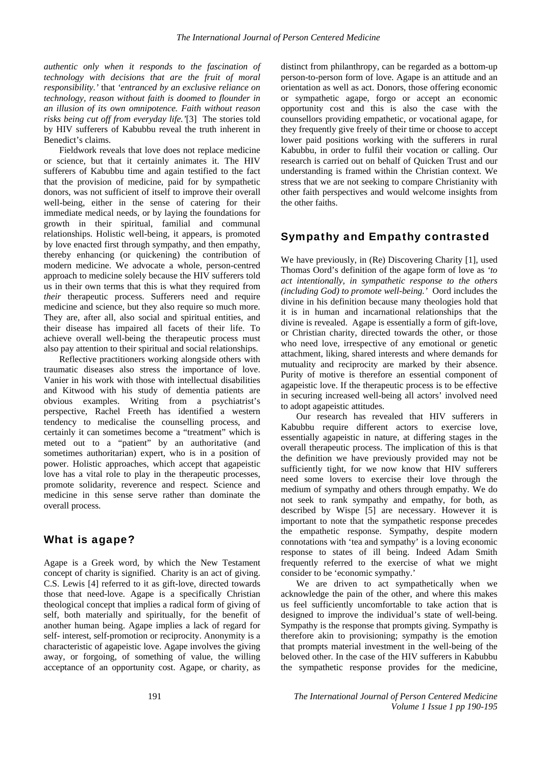*authentic only when it responds to the fascination of technology with decisions that are the fruit of moral responsibility.'* that *'entranced by an exclusive reliance on technology, reason without faith is doomed to flounder in an illusion of its own omnipotence. Faith without reason risks being cut off from everyday life.'*[3]The stories told by HIV sufferers of Kabubbu reveal the truth inherent in Benedict's claims.

Fieldwork reveals that love does not replace medicine or science, but that it certainly animates it. The HIV sufferers of Kabubbu time and again testified to the fact that the provision of medicine, paid for by sympathetic donors, was not sufficient of itself to improve their overall well-being, either in the sense of catering for their immediate medical needs, or by laying the foundations for growth in their spiritual, familial and communal relationships. Holistic well-being, it appears, is promoted by love enacted first through sympathy, and then empathy, thereby enhancing (or quickening) the contribution of modern medicine. We advocate a whole, person-centred approach to medicine solely because the HIV sufferers told us in their own terms that this is what they required from *their* therapeutic process. Sufferers need and require medicine and science, but they also require so much more. They are, after all, also social and spiritual entities, and their disease has impaired all facets of their life. To achieve overall well-being the therapeutic process must also pay attention to their spiritual and social relationships.

Reflective practitioners working alongside others with traumatic diseases also stress the importance of love. Vanier in his work with those with intellectual disabilities and Kitwood with his study of dementia patients are obvious examples. Writing from a psychiatrist's perspective, Rachel Freeth has identified a western tendency to medicalise the counselling process, and certainly it can sometimes become a "treatment" which is meted out to a "patient" by an authoritative (and sometimes authoritarian) expert, who is in a position of power. Holistic approaches, which accept that agapeistic love has a vital role to play in the therapeutic processes, promote solidarity, reverence and respect. Science and medicine in this sense serve rather than dominate the overall process.

# What is agape?

Agape is a Greek word, by which the New Testament concept of charity is signified. Charity is an act of giving. C.S. Lewis [4] referred to it as gift-love, directed towards those that need-love. Agape is a specifically Christian theological concept that implies a radical form of giving of self, both materially and spiritually, for the benefit of another human being. Agape implies a lack of regard for self- interest, self-promotion or reciprocity. Anonymity is a characteristic of agapeistic love. Agape involves the giving away, or forgoing, of something of value, the willing acceptance of an opportunity cost. Agape, or charity, as

distinct from philanthropy, can be regarded as a bottom-up person-to-person form of love. Agape is an attitude and an orientation as well as act. Donors, those offering economic or sympathetic agape, forgo or accept an economic opportunity cost and this is also the case with the counsellors providing empathetic, or vocational agape, for they frequently give freely of their time or choose to accept lower paid positions working with the sufferers in rural Kabubbu, in order to fulfil their vocation or calling. Our research is carried out on behalf of Quicken Trust and our understanding is framed within the Christian context. We stress that we are not seeking to compare Christianity with other faith perspectives and would welcome insights from the other faiths.

# Sympathy and Empathy contrasted

We have previously, in (Re) Discovering Charity [1], used Thomas Oord's definition of the agape form of love as *'to act intentionally, in sympathetic response to the others (including God) to promote well-being.'* Oord includes the divine in his definition because many theologies hold that it is in human and incarnational relationships that the divine is revealed. Agape is essentially a form of gift-love, or Christian charity, directed towards the other, or those who need love, irrespective of any emotional or genetic attachment, liking, shared interests and where demands for mutuality and reciprocity are marked by their absence. Purity of motive is therefore an essential component of agapeistic love. If the therapeutic process is to be effective in securing increased well-being all actors' involved need to adopt agapeistic attitudes.

Our research has revealed that HIV sufferers in Kabubbu require different actors to exercise love, essentially agapeistic in nature, at differing stages in the overall therapeutic process. The implication of this is that the definition we have previously provided may not be sufficiently tight, for we now know that HIV sufferers need some lovers to exercise their love through the medium of sympathy and others through empathy. We do not seek to rank sympathy and empathy, for both, as described by Wispe [5] are necessary. However it is important to note that the sympathetic response precedes the empathetic response. Sympathy, despite modern connotations with 'tea and sympathy' is a loving economic response to states of ill being. Indeed Adam Smith frequently referred to the exercise of what we might consider to be 'economic sympathy.'

We are driven to act sympathetically when we acknowledge the pain of the other, and where this makes us feel sufficiently uncomfortable to take action that is designed to improve the individual's state of well-being. Sympathy is the response that prompts giving. Sympathy is therefore akin to provisioning; sympathy is the emotion that prompts material investment in the well-being of the beloved other. In the case of the HIV sufferers in Kabubbu the sympathetic response provides for the medicine,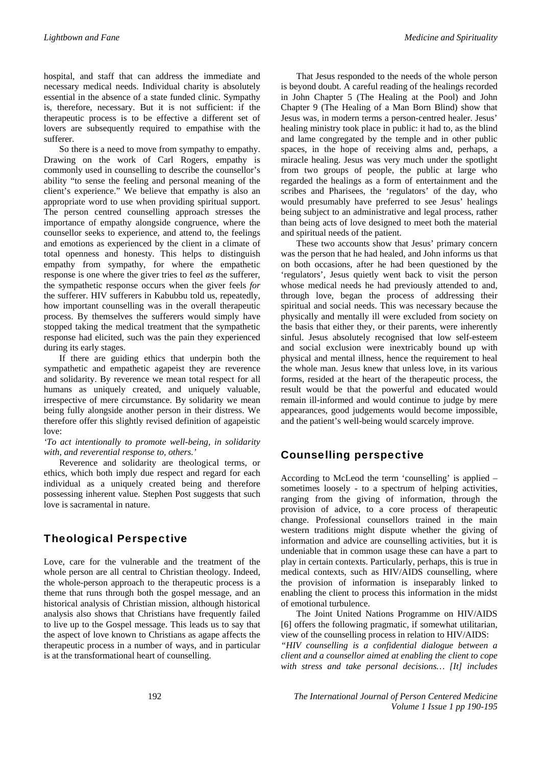hospital, and staff that can address the immediate and necessary medical needs. Individual charity is absolutely essential in the absence of a state funded clinic. Sympathy is, therefore, necessary. But it is not sufficient: if the therapeutic process is to be effective a different set of lovers are subsequently required to empathise with the sufferer.

So there is a need to move from sympathy to empathy. Drawing on the work of Carl Rogers, empathy is commonly used in counselling to describe the counsellor's ability "to sense the feeling and personal meaning of the client's experience." We believe that empathy is also an appropriate word to use when providing spiritual support. The person centred counselling approach stresses the importance of empathy alongside congruence, where the counsellor seeks to experience, and attend to, the feelings and emotions as experienced by the client in a climate of total openness and honesty. This helps to distinguish empathy from sympathy, for where the empathetic response is one where the giver tries to feel *as* the sufferer, the sympathetic response occurs when the giver feels *for* the sufferer. HIV sufferers in Kabubbu told us, repeatedly, how important counselling was in the overall therapeutic process. By themselves the sufferers would simply have stopped taking the medical treatment that the sympathetic response had elicited, such was the pain they experienced during its early stages.

If there are guiding ethics that underpin both the sympathetic and empathetic agapeist they are reverence and solidarity. By reverence we mean total respect for all humans as uniquely created, and uniquely valuable, irrespective of mere circumstance. By solidarity we mean being fully alongside another person in their distress. We therefore offer this slightly revised definition of agapeistic love:

#### *'To act intentionally to promote well-being, in solidarity with, and reverential response to, others.'*

Reverence and solidarity are theological terms, or ethics, which both imply due respect and regard for each individual as a uniquely created being and therefore possessing inherent value. Stephen Post suggests that such love is sacramental in nature.

# Theological Perspective

Love, care for the vulnerable and the treatment of the whole person are all central to Christian theology. Indeed, the whole-person approach to the therapeutic process is a theme that runs through both the gospel message, and an historical analysis of Christian mission, although historical analysis also shows that Christians have frequently failed to live up to the Gospel message. This leads us to say that the aspect of love known to Christians as agape affects the therapeutic process in a number of ways, and in particular is at the transformational heart of counselling.

That Jesus responded to the needs of the whole person is beyond doubt. A careful reading of the healings recorded in John Chapter 5 (The Healing at the Pool) and John Chapter 9 (The Healing of a Man Born Blind) show that Jesus was, in modern terms a person-centred healer. Jesus' healing ministry took place in public: it had to, as the blind and lame congregated by the temple and in other public spaces, in the hope of receiving alms and, perhaps, a miracle healing. Jesus was very much under the spotlight from two groups of people, the public at large who regarded the healings as a form of entertainment and the scribes and Pharisees, the 'regulators' of the day, who would presumably have preferred to see Jesus' healings being subject to an administrative and legal process, rather than being acts of love designed to meet both the material and spiritual needs of the patient.

These two accounts show that Jesus' primary concern was the person that he had healed, and John informs us that on both occasions, after he had been questioned by the 'regulators', Jesus quietly went back to visit the person whose medical needs he had previously attended to and, through love, began the process of addressing their spiritual and social needs. This was necessary because the physically and mentally ill were excluded from society on the basis that either they, or their parents, were inherently sinful. Jesus absolutely recognised that low self-esteem and social exclusion were inextricably bound up with physical and mental illness, hence the requirement to heal the whole man. Jesus knew that unless love, in its various forms, resided at the heart of the therapeutic process, the result would be that the powerful and educated would remain ill-informed and would continue to judge by mere appearances, good judgements would become impossible, and the patient's well-being would scarcely improve.

# Counselling perspective

According to McLeod the term 'counselling' is applied – sometimes loosely - to a spectrum of helping activities, ranging from the giving of information, through the provision of advice, to a core process of therapeutic change. Professional counsellors trained in the main western traditions might dispute whether the giving of information and advice are counselling activities, but it is undeniable that in common usage these can have a part to play in certain contexts. Particularly, perhaps, this is true in medical contexts, such as HIV/AIDS counselling, where the provision of information is inseparably linked to enabling the client to process this information in the midst of emotional turbulence.

The Joint United Nations Programme on HIV/AIDS [6] offers the following pragmatic, if somewhat utilitarian, view of the counselling process in relation to HIV/AIDS:

*"HIV counselling is a confidential dialogue between a client and a counsellor aimed at enabling the client to cope with stress and take personal decisions… [It] includes*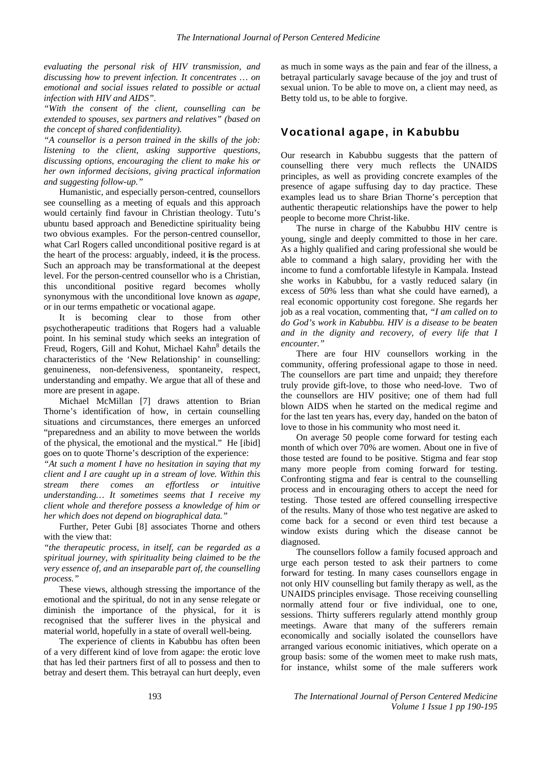*evaluating the personal risk of HIV transmission, and discussing how to prevent infection. It concentrates … on emotional and social issues related to possible or actual infection with HIV and AIDS".* 

*"With the consent of the client, counselling can be extended to spouses, sex partners and relatives" (based on the concept of shared confidentiality).* 

*"A counsellor is a person trained in the skills of the job: listening to the client, asking supportive questions, discussing options, encouraging the client to make his or her own informed decisions, giving practical information and suggesting follow-up."* 

Humanistic, and especially person-centred, counsellors see counselling as a meeting of equals and this approach would certainly find favour in Christian theology. Tutu's ubuntu based approach and Benedictine spirituality being two obvious examples. For the person-centred counsellor, what Carl Rogers called unconditional positive regard is at the heart of the process: arguably, indeed, it **is** the process. Such an approach may be transformational at the deepest level. For the person-centred counsellor who is a Christian, this unconditional positive regard becomes wholly synonymous with the unconditional love known as *agape, o*r in our terms empathetic or vocational agape.

It is becoming clear to those from other psychotherapeutic traditions that Rogers had a valuable point. In his seminal study which seeks an integration of Freud, Rogers, Gill and Kohut, Michael Kahn<sup>8</sup> details the characteristics of the 'New Relationship' in counselling: genuineness, non-defensiveness, spontaneity, respect, understanding and empathy. We argue that all of these and more are present in agape.

Michael McMillan [7] draws attention to Brian Thorne's identification of how, in certain counselling situations and circumstances, there emerges an unforced "preparedness and an ability to move between the worlds of the physical, the emotional and the mystical." He [ibid] goes on to quote Thorne's description of the experience:

*"At such a moment I have no hesitation in saying that my client and I are caught up in a stream of love. Within this stream there comes an effortless or intuitive understanding… It sometimes seems that I receive my client whole and therefore possess a knowledge of him or her which does not depend on biographical data."* 

Further, Peter Gubi [8] associates Thorne and others with the view that:

*"the therapeutic process, in itself, can be regarded as a spiritual journey, with spirituality being claimed to be the very essence of, and an inseparable part of, the counselling process."* 

These views, although stressing the importance of the emotional and the spiritual, do not in any sense relegate or diminish the importance of the physical, for it is recognised that the sufferer lives in the physical and material world, hopefully in a state of overall well-being.

The experience of clients in Kabubbu has often been of a very different kind of love from agape: the erotic love that has led their partners first of all to possess and then to betray and desert them. This betrayal can hurt deeply, even

as much in some ways as the pain and fear of the illness, a betrayal particularly savage because of the joy and trust of sexual union. To be able to move on, a client may need, as Betty told us, to be able to forgive.

### Vocational agape, in Kabubbu

Our research in Kabubbu suggests that the pattern of counselling there very much reflects the UNAIDS principles, as well as providing concrete examples of the presence of agape suffusing day to day practice. These examples lead us to share Brian Thorne's perception that authentic therapeutic relationships have the power to help people to become more Christ-like.

The nurse in charge of the Kabubbu HIV centre is young, single and deeply committed to those in her care. As a highly qualified and caring professional she would be able to command a high salary, providing her with the income to fund a comfortable lifestyle in Kampala. Instead she works in Kabubbu, for a vastly reduced salary (in excess of 50% less than what she could have earned), a real economic opportunity cost foregone. She regards her job as a real vocation, commenting that, *"I am called on to do God's work in Kabubbu. HIV is a disease to be beaten and in the dignity and recovery, of every life that I encounter."* 

There are four HIV counsellors working in the community, offering professional agape to those in need. The counsellors are part time and unpaid; they therefore truly provide gift-love, to those who need-love. Two of the counsellors are HIV positive; one of them had full blown AIDS when he started on the medical regime and for the last ten years has, every day, handed on the baton of love to those in his community who most need it.

On average 50 people come forward for testing each month of which over 70% are women. About one in five of those tested are found to be positive. Stigma and fear stop many more people from coming forward for testing. Confronting stigma and fear is central to the counselling process and in encouraging others to accept the need for testing. Those tested are offered counselling irrespective of the results. Many of those who test negative are asked to come back for a second or even third test because a window exists during which the disease cannot be diagnosed.

The counsellors follow a family focused approach and urge each person tested to ask their partners to come forward for testing. In many cases counsellors engage in not only HIV counselling but family therapy as well, as the UNAIDS principles envisage. Those receiving counselling normally attend four or five individual, one to one, sessions. Thirty sufferers regularly attend monthly group meetings. Aware that many of the sufferers remain economically and socially isolated the counsellors have arranged various economic initiatives, which operate on a group basis: some of the women meet to make rush mats, for instance, whilst some of the male sufferers work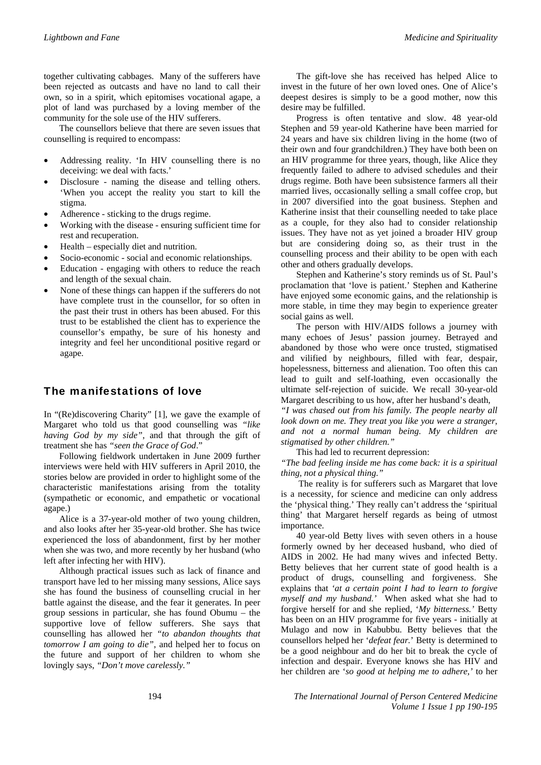together cultivating cabbages. Many of the sufferers have been rejected as outcasts and have no land to call their own, so in a spirit, which epitomises vocational agape, a plot of land was purchased by a loving member of the community for the sole use of the HIV sufferers.

The counsellors believe that there are seven issues that counselling is required to encompass:

- Addressing reality. 'In HIV counselling there is no deceiving: we deal with facts.'
- Disclosure naming the disease and telling others. 'When you accept the reality you start to kill the stigma.
- Adherence sticking to the drugs regime.
- Working with the disease ensuring sufficient time for rest and recuperation.
- Health especially diet and nutrition.
- Socio-economic social and economic relationships.
- Education engaging with others to reduce the reach and length of the sexual chain.
- None of these things can happen if the sufferers do not have complete trust in the counsellor, for so often in the past their trust in others has been abused. For this trust to be established the client has to experience the counsellor's empathy, be sure of his honesty and integrity and feel her unconditional positive regard or agape.

# The manifestations of love

In "(Re)discovering Charity" [1], we gave the example of Margaret who told us that good counselling was *"like having God by my side"*, and that through the gift of treatment she has *"seen the Grace of God*."

Following fieldwork undertaken in June 2009 further interviews were held with HIV sufferers in April 2010, the stories below are provided in order to highlight some of the characteristic manifestations arising from the totality (sympathetic or economic, and empathetic or vocational agape.)

Alice is a 37-year-old mother of two young children, and also looks after her 35-year-old brother. She has twice experienced the loss of abandonment, first by her mother when she was two, and more recently by her husband (who left after infecting her with HIV).

Although practical issues such as lack of finance and transport have led to her missing many sessions, Alice says she has found the business of counselling crucial in her battle against the disease, and the fear it generates. In peer group sessions in particular, she has found Obumu – the supportive love of fellow sufferers. She says that counselling has allowed her *"to abandon thoughts that tomorrow I am going to die"*, and helped her to focus on the future and support of her children to whom she lovingly says, *"Don't move carelessly."* 

The gift-love she has received has helped Alice to invest in the future of her own loved ones. One of Alice's deepest desires is simply to be a good mother, now this desire may be fulfilled.

Progress is often tentative and slow. 48 year-old Stephen and 59 year-old Katherine have been married for 24 years and have six children living in the home (two of their own and four grandchildren.) They have both been on an HIV programme for three years, though, like Alice they frequently failed to adhere to advised schedules and their drugs regime. Both have been subsistence farmers all their married lives, occasionally selling a small coffee crop, but in 2007 diversified into the goat business. Stephen and Katherine insist that their counselling needed to take place as a couple, for they also had to consider relationship issues. They have not as yet joined a broader HIV group but are considering doing so, as their trust in the counselling process and their ability to be open with each other and others gradually develops.

Stephen and Katherine's story reminds us of St. Paul's proclamation that 'love is patient.' Stephen and Katherine have enjoyed some economic gains, and the relationship is more stable, in time they may begin to experience greater social gains as well.

The person with HIV/AIDS follows a journey with many echoes of Jesus' passion journey. Betrayed and abandoned by those who were once trusted, stigmatised and vilified by neighbours, filled with fear, despair, hopelessness, bitterness and alienation. Too often this can lead to guilt and self-loathing, even occasionally the ultimate self-rejection of suicide. We recall 30-year-old Margaret describing to us how, after her husband's death,

*"I was chased out from his family. The people nearby all look down on me. They treat you like you were a stranger, and not a normal human being. My children are stigmatised by other children."* 

This had led to recurrent depression:

*"The bad feeling inside me has come back: it is a spiritual thing, not a physical thing."* 

 The reality is for sufferers such as Margaret that love is a necessity, for science and medicine can only address the 'physical thing.' They really can't address the 'spiritual thing' that Margaret herself regards as being of utmost importance.

40 year-old Betty lives with seven others in a house formerly owned by her deceased husband, who died of AIDS in 2002. He had many wives and infected Betty. Betty believes that her current state of good health is a product of drugs, counselling and forgiveness. She explains that *'at a certain point I had to learn to forgive myself and my husband.'* When asked what she had to forgive herself for and she replied, '*My bitterness.'* Betty has been on an HIV programme for five years - initially at Mulago and now in Kabubbu. Betty believes that the counsellors helped her '*defeat fear.*' Betty is determined to be a good neighbour and do her bit to break the cycle of infection and despair. Everyone knows she has HIV and her children are '*so good at helping me to adhere,'* to her